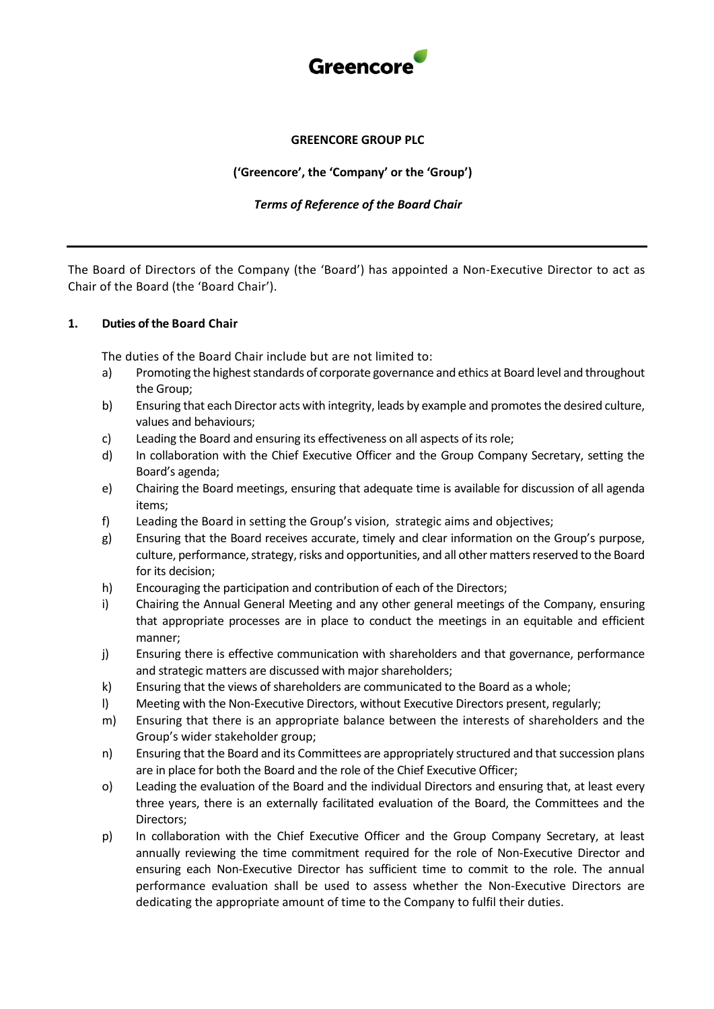

# **GREENCORE GROUP PLC**

# **('Greencore', the 'Company' or the 'Group')**

### *Terms of Reference of the Board Chair*

The Board of Directors of the Company (the 'Board') has appointed a Non-Executive Director to act as Chair of the Board (the 'Board Chair').

#### **1. Duties of the Board Chair**

The duties of the Board Chair include but are not limited to:

- a) Promoting the highest standards of corporate governance and ethics at Board level and throughout the Group;
- b) Ensuring that each Director acts with integrity, leads by example and promotes the desired culture, values and behaviours;
- c) Leading the Board and ensuring its effectiveness on all aspects of its role;
- d) In collaboration with the Chief Executive Officer and the Group Company Secretary, setting the Board's agenda;
- e) Chairing the Board meetings, ensuring that adequate time is available for discussion of all agenda items;
- f) Leading the Board in setting the Group's vision, strategic aims and objectives;
- g) Ensuring that the Board receives accurate, timely and clear information on the Group's purpose, culture, performance, strategy, risks and opportunities, and all other matters reserved to the Board for its decision;
- h) Encouraging the participation and contribution of each of the Directors;
- i) Chairing the Annual General Meeting and any other general meetings of the Company, ensuring that appropriate processes are in place to conduct the meetings in an equitable and efficient manner;
- j) Ensuring there is effective communication with shareholders and that governance, performance and strategic matters are discussed with major shareholders;
- k) Ensuring that the views of shareholders are communicated to the Board as a whole;
- l) Meeting with the Non-Executive Directors, without Executive Directors present, regularly;
- m) Ensuring that there is an appropriate balance between the interests of shareholders and the Group's wider stakeholder group;
- n) Ensuring that the Board and its Committees are appropriately structured and that succession plans are in place for both the Board and the role of the Chief Executive Officer;
- o) Leading the evaluation of the Board and the individual Directors and ensuring that, at least every three years, there is an externally facilitated evaluation of the Board, the Committees and the Directors;
- p) In collaboration with the Chief Executive Officer and the Group Company Secretary, at least annually reviewing the time commitment required for the role of Non-Executive Director and ensuring each Non-Executive Director has sufficient time to commit to the role. The annual performance evaluation shall be used to assess whether the Non-Executive Directors are dedicating the appropriate amount of time to the Company to fulfil their duties.